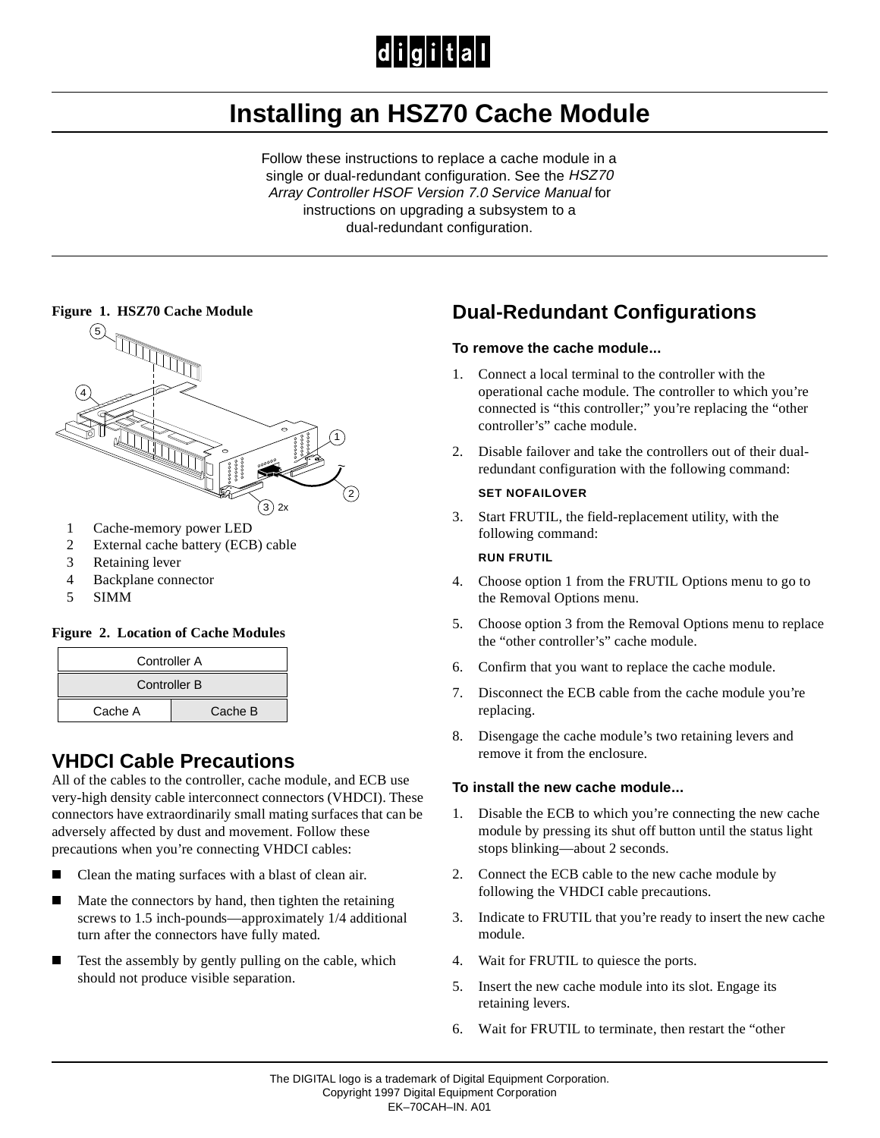# $|d|i|g|i|t|a|l$

# **Installing an HSZ70 Cache Module**

Follow these instructions to replace a cache module in a single or dual-redundant configuration. See the HSZ70 Array Controller HSOF Version 7.0 Service Manual for instructions on upgrading a subsystem to a dual-redundant configuration.

#### **Figure 1. HSZ70 Cache Module**



- 1 Cache-memory power LED
- 2 External cache battery (ECB) cable
- 3 Retaining lever
- 4 Backplane connector
- 5 SIMM

#### **Figure 2. Location of Cache Modules**

| <b>Controller A</b> |         |
|---------------------|---------|
| <b>Controller B</b> |         |
| Cache A             | Cache B |

### **VHDCI Cable Precautions**

All of the cables to the controller, cache module, and ECB use very-high density cable interconnect connectors (VHDCI). These connectors have extraordinarily small mating surfaces that can be adversely affected by dust and movement. Follow these precautions when you're connecting VHDCI cables:

- $\blacksquare$ Clean the mating surfaces with a blast of clean air.
- Ē Mate the connectors by hand, then tighten the retaining screws to 1.5 inch-pounds—approximately 1/4 additional turn after the connectors have fully mated.
- $\blacksquare$  Test the assembly by gently pulling on the cable, which should not produce visible separation.

## **Dual-Redundant Configurations**

#### **To remove the cache module...**

- 1. Connect a local terminal to the controller with the operational cache module. The controller to which you're connected is "this controller;" you're replacing the "other controller's" cache module.
- 2. Disable failover and take the controllers out of their dualredundant configuration with the following command:

#### **SET NOFAILOVER**

3. Start FRUTIL, the field-replacement utility, with the following command:

#### **RUN FRUTIL**

- 4. Choose option 1 from the FRUTIL Options menu to go to the Removal Options menu.
- 5. Choose option 3 from the Removal Options menu to replace the "other controller's" cache module.
- 6. Confirm that you want to replace the cache module.
- 7. Disconnect the ECB cable from the cache module you're replacing.
- 8. Disengage the cache module's two retaining levers and remove it from the enclosure.

#### **To install the new cache module...**

- 1. Disable the ECB to which you're connecting the new cache module by pressing its shut off button until the status light stops blinking—about 2 seconds.
- 2. Connect the ECB cable to the new cache module by following the VHDCI cable precautions.
- 3. Indicate to FRUTIL that you're ready to insert the new cache module.
- 4. Wait for FRUTIL to quiesce the ports.
- 5. Insert the new cache module into its slot. Engage its retaining levers.
- 6. Wait for FRUTIL to terminate, then restart the "other